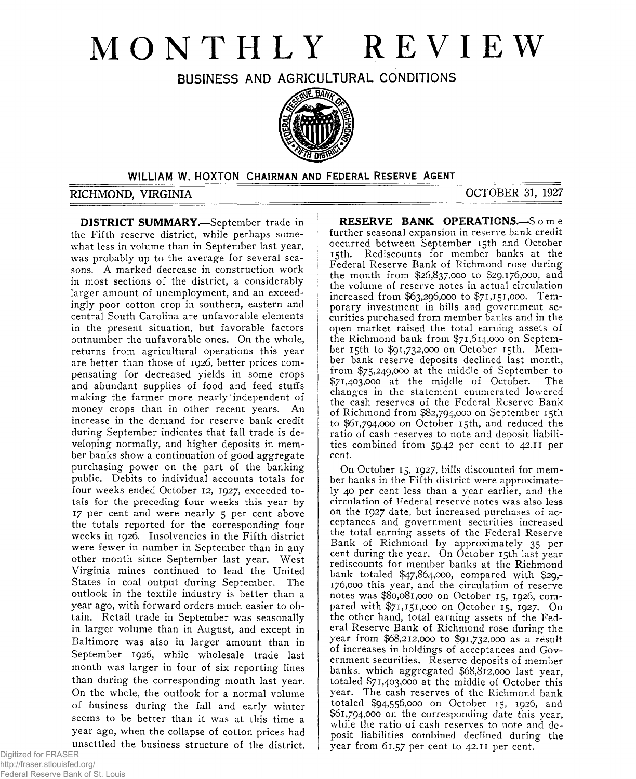# **MONTHLY REVIEW**

**BUSINESS AND AGRICULTURAL CONDITIONS**



cent.

# **WILLIAM** W. HOXTON CHAIRMAN AND FEDERAL RESERVE AGENT

## **RICHMOND, VIRGINIA OCTOBER 31, 1927**

**RESERVE BANK OPERATIONS.—**S o m e further seasonal expansion in reserve bank credit occurred between September 15th and October 15th. Rediscounts for member banks at the Federal Reserve Bank of Richmond rose during the month from \$26,837,000 to \$29,176,000, and the volume of reserve notes in actual circulation increased from \$63,296,000 to \$71,151,000. Temporary investment in bills and government securities purchased from member banks and in the open market raised the total earning assets of the Richmond bank from \$71,614,000 on September 15th to \$91,732,000 on October 15th. Member bank reserve deposits declined last month, from \$75,249,000 at the middle of September to  $$71,403,000$  at the middle of October. changes in the statement enumerated lowered the cash reserves of the Federal Reserve Bank of Richmond from \$82,794,000 on September 15th to \$61,794,000 on October 15th, and reduced the ratio of cash reserves to note and deposit liabilities combined from 59.42 per cent to 42.11 per

On October 15, 1927, bills discounted for member banks in the Fifth district were approximately 40 per cent less than a year earlier, and the circulation of Federal reserve notes was also less on the 1927 date, but increased purchases of acceptances and government securities increased the total earning assets of the Federal Reserve Bank of Richmond by approximately 35 per cent during the year. On October 15th last year rediscounts for member banks at the Richmond bank totaled \$47,864,000, compared with \$29,- 176,000 this year, and the circulation of reserve notes was \$80,081,000 on October 15, 1926, compared with \$71,151,000 on October 15, 1927. On the other hand, total earning assets of the Federal Reserve Bank of Richmond rose during the year from \$68,212,000 to \$91,732,000 as a result of increases in holdings of acceptances and Government securities. Reserve deposits of member banks, which aggregated \$68,812,000 last year, totaled  $\frac{5}{71}$ ,403,000 at the middle of October this year. The cash reserves of the Richmond bank totaled \$94,556,000 on October 15, 1926, and \$61,794,000 on the corresponding date this year, while the ratio of cash reserves to note and deposit liabilities combined declined during the year from 61.57 per cent to 42.11 per cent.

**DISTRICT SUMMARY.—**September trade in the Fifth reserve district, while perhaps somewhat less in volume than in September last year, was probably up to the average for several seasons. A marked decrease in construction work in most sections of the district, a considerably larger amount of unemployment, and an exceedingly poor cotton crop in southern, eastern and central South Carolina are unfavorable elements in the present situation, but favorable factors outnumber the unfavorable ones. On the whole, returns from agricultural operations this year are better than those of 1926, better prices compensating for decreased yields in some crops and abundant supplies of food and feed stuffs making the farmer more nearly independent of money crops than in other recent years. An increase in the demand for reserve bank credit during September indicates that fall trade is developing normally, and higher deposits in member banks show a continuation of good aggregate purchasing power on the part of the banking public. Debits to individual accounts totals for four weeks ended October 12, 1927, exceeded totals for the preceding four weeks this year by 17 per cent and were nearly 5 per cent above the totals reported for the corresponding four weeks in 1926. Insolvencies in the Fifth district were fewer in number in September than in any other month since September last year. West Virginia mines continued to lead the United States in coal output during September. The outlook in the textile industry is better than a year ago, with forward orders much easier to obtain. Retail trade in September was seasonally in larger volume than in August, and except in Baltimore was also in larger amount than in September 1926, while wholesale trade last month was larger in four of six reporting lines than during the corresponding month last year. On the whole, the outlook for a normal volume of business during the fall and early winter seems to be better than it was at this time a year ago, when the collapse of cotton prices had unsettled the business structure of the district.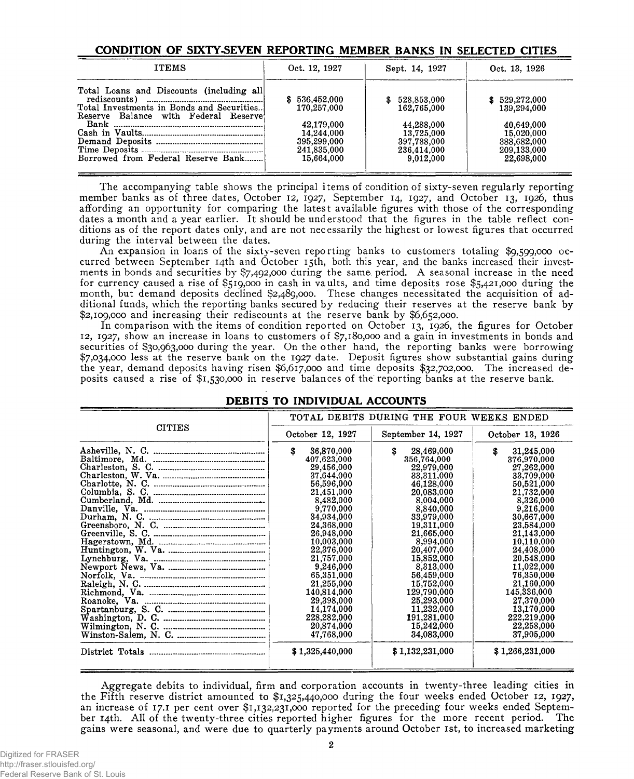### **CONDITION OF SIXTY-SEVEN REPORTING MEMBER BANKS IN SELECTED CITIES**

| <b>ITEMS</b>                                                                                                                             | Oct. 12, 1927 | Sept. 14, 1927 | Oct. 13, 1926 |
|------------------------------------------------------------------------------------------------------------------------------------------|---------------|----------------|---------------|
| Total Loans and Discounts (including all                                                                                                 |               |                |               |
| $\text{red} \text{iscounts}$ $\ldots$ $\ldots$ $\ldots$ $\ldots$ $\ldots$ $\ldots$ $\ldots$ $\ldots$ $\ldots$ $\ldots$ $\ldots$ $\ldots$ | 536,452,000   | \$528,853,000  | \$529,272,000 |
| Total Investments in Bonds and Securities                                                                                                | 170.257.000   | 162,765,000    | 139,294,000   |
| Reserve Balance with Federal Reserve                                                                                                     |               |                |               |
|                                                                                                                                          | 42,179,000    | 44,288,000     | 40,649,000    |
|                                                                                                                                          | 14.244.000    | 13,725,000     | 15,020,000    |
|                                                                                                                                          |               |                |               |
|                                                                                                                                          | 395,299,000   | 397,788,000    | 388,682,000   |
|                                                                                                                                          | 241,835,000   | 236,414,000    | 209,133,000   |
| Borrowed from Federal Reserve Bank                                                                                                       | 15.664.000    | 9.012.000      | 22,698,000    |
|                                                                                                                                          |               |                |               |

The accompanying table shows the principal items of condition of sixty-seven regularly reporting member banks as of three dates, October 12, 1927, September 14, 1927, and October 13, 1926, thus affording an opportunity for comparing the latest available figures with those of the corresponding dates a month and a year earlier. It should be understood that the figures in the table reflect conditions as of the report dates only, and are not necessarily the highest or lowest figures that occurred during the interval between the dates.

An expansion in loans of the sixty-seven reporting banks to customers totaling \$9,599,000 occurred between September 14th and October 15th, both this year, and the banks increased their investments in bonds and securities by  $\frac{6}{2}$ ,492,000 during the same period. A seasonal increase in the need for currency caused a rise of \$519,000 in cash in vaults, and time deposits rose \$5,421,000 during the month, but demand deposits declined \$2,489,000. These changes necessitated the acquisition of additional funds, which the reporting banks secured by reducing their reserves at the reserve bank by \$2,109,000 and increasing their rediscounts at the reserve bank by \$6,652,000.

In comparison with the items of condition reported on October 13, 1926, the figures for October 12, 1927, show an increase in loans to customers of \$7,180,000 and a gain in investments in bonds and securities of \$30,963,000 during the year. On the other hand, the reporting banks were borrowing \$7,034,000 less at the reserve bank on the 1927 date. Deposit figures show substantial gains during the year, demand deposits having risen \$6,617,000 and time deposits \$32,702,000. The increased deposits caused a rise of \$1,530,000 in reserve balances of the reporting banks at the reserve bank.

| DEBITS TO INDIVIDUAL ACCOUNTS |  |
|-------------------------------|--|
|                               |  |
|                               |  |

|               | TOTAL DEBITS DURING THE FOUR WEEKS ENDED |                    |                  |  |  |
|---------------|------------------------------------------|--------------------|------------------|--|--|
| <b>CITIES</b> | October 12, 1927                         | September 14, 1927 | October 13, 1926 |  |  |
|               | S<br>36,870,000                          | \$<br>28,469,000   | s<br>31,245,000  |  |  |
|               | 407,623,000                              | 356,764,000        | 376,970,000      |  |  |
|               | 29,456,000                               | 22,979,000         | 27,262,000       |  |  |
|               | 37,644,000                               | 33,311,000         | 33,709,000       |  |  |
|               | 56,596,000                               | 46,128,000         | 50,521,000       |  |  |
|               | 21,451,000                               | 20,083,000         | 21,732,000       |  |  |
|               | 8,482,000                                | 8,004,000          | 8,326,000        |  |  |
|               | 9,770,000                                | 8,840,000          | 9,216,000        |  |  |
|               | 34,934,000                               | 33,979,000         | 30,667,000       |  |  |
|               | 24,368,000                               | 19,311,000         | 23,584,000       |  |  |
|               | 26,948,000                               | 21,665,000         | 21.143,000       |  |  |
|               | 10,003,000                               | 8,994,000          | 10,110,000       |  |  |
|               | 22,376,000                               | 20,407,000         | 24,408,000       |  |  |
|               | 21,757,000                               | 15,852,000         | 20,548,000       |  |  |
|               | 9,246,000                                | 8,313,000          | 11,022,000       |  |  |
|               | 65,351,000                               | 56,459,000         | 76,350,000       |  |  |
|               | 21,255,000                               | 15,752,000         | 21,160,000       |  |  |
|               | 140,814,000                              | 129,790,000        | 145,336,000      |  |  |
|               | 29,398,000                               | 25,293,000         | 27,370,000       |  |  |
|               | 14,174,000                               | 11.232.000         | 13,170,000       |  |  |
|               | 228,282,000                              | 191,281,000        | 222,219,000      |  |  |
|               | 20.874,000                               | 15,242,000         | 22,258,000       |  |  |
|               | 47,768,000                               | 34,083,000         | 37,905,000       |  |  |
|               | \$1,325,440,000                          | \$1,132,231,000    | \$1,266,231,000  |  |  |
|               |                                          |                    |                  |  |  |

Aggregate debits to individual, firm and corporation accounts in twenty-three leading cities in the Fifth reserve district amounted to \$1,325,440,000 during the four weeks ended October 12, 1927, an increase of 17.1 per cent over \$1,132,231,000 reported for the preceding four weeks ended September 14th. All of the twenty-three cities reported higher figures for the more recent period. The gains were seasonal, and were due to quarterly payments around October 1st, to increased marketing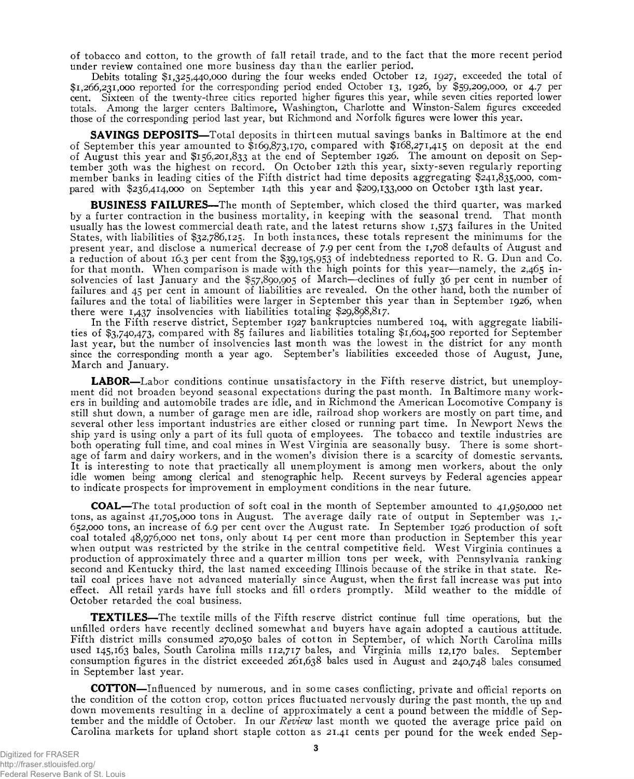of tobacco and cotton, to the growth of fall retail trade, and to the fact that the more recent period under review contained one more business day than the earlier period.

Debits totaling \$1,325,440,000 during the four weeks ended October 12, 1927, exceeded the total of \$1,266,231,000 reported for the corresponding period ended October 13, 1926, by \$59,209,000, or 4.7 per cent. Sixteen of the twenty-three cities reported higher figures this year, while seven cities reported lower totals. Among the larger centers Baltimore, Washington, Charlotte and Winston-Salem figures exceeded those of the corresponding period last year, but Richmond and Norfolk figures were lower this year.

**SAVINGS DEPOSITS**—Total deposits in thirteen mutual savings banks in Baltimore at the end of September this year amounted to \$169,873,170, compared with \$168,271,415 on deposit at the end of August this year and \$156,201,833 at the end of September 1926. The amount on deposit on September 30th was the highest on record. On October 12th this year, sixty-seven regularly reporting member banks in leading cities of the Fifth district had time deposits aggregating \$241,835,000, compared with \$236,414,000 on September 14th this year and \$209,133,000 on October 13th last year.

**BUSINESS FAILURES**—The month of September, which closed the third quarter, was marked by a furter contraction in the business mortality, in keeping with the seasonal trend. That month usually has the lowest commercial death rate, and the latest returns show 1,573 failures in the United States, with liabilities of \$32,786,125. In both instances, these totals represent the minimums for the present year, and disclose a numerical decrease of 7.9 per cent from the 1,708 defaults of August and a reduction of about 16.3 per cent from the \$39,195,953 of indebtedness reported to R. G. Dun and Co. for that month. When comparison is made with the high points for this year—namely, the 2,465 insolvencies of last January and the \$57,890,905 of March—declines of fully 36 per cent in number of failures and 45 per cent in amount of liabilities are revealed. On the other hand, both the number of failures and the total of liabilities were larger in September this year than in September 1926, when there were 1,437 insolvencies with liabilities totaling \$29,898,817.

In the Fifth reserve district, September 1927 bankruptcies numbered 104, with aggregate liabilities of \$3,740,473, compared with 85 failures and liabilities totaling \$1,604,500 reported for September last year, but the number of insolvencies last month was the lowest in the district for any month since the corresponding month a year ago. September's liabilities exceeded those of August, June, March and January.

**LABOR**—Labor conditions continue unsatisfactory in the Fifth reserve district, but unemployment did not broaden beyond seasonal expectations during the past month. In Baltimore many workers in building and automobile trades are idle, and in Richmond the American Locomotive Company is still shut down, a number of garage men are idle, railroad shop workers are mostly on part time, and several other less important industries are either closed or running part time. In Newport News the ship yard is using only a part of its full quota of employees. The tobacco and textile industries are both operating full time, and coal mines in West Virginia are seasonally busy. There is some shortage of farm and dairy workers, and in the women's division there is a scarcity of domestic servants. It is interesting to note that practically all unemployment is among men workers, about the only idle women being among clerical and stenographic help. Recent surveys by Federal agencies appear to indicate prospects for improvement in employment conditions in the near future.

**COAL**—The total production of soft coal in the month of September amounted to 41,950,000 net tons, as against 41,705,000 tons in August. The average daily rate of output in September was 1,- 652,000 tons, an increase of 6.9 per cent over the August rate. In September 1926 production of soft coal totaled 48,976,000 net tons, only about 14 per cent more than production in September this year when output was restricted by the strike in the central competitive field. West Virginia continues a production of approximately three and a quarter million tons per week, with Pennsylvania ranking second and Kentucky third, the last named exceeding Illinois because of the strike in that state. Retail coal prices have not advanced materially since August, when the first fall increase was put into effect. All retail yards have full stocks and fill orders promptly. Mild weather to the middle of October retarded the coal business.

**TEXTILES**—The textile mills of the Fifth reserve district continue full time operations, but the unfilled orders have recently declined somewhat and buyers, have again adopted a cautious attitude. Fifth district mills consumed 270,050 bales of cotton in September, of which North Carolina mills used 145,163 bales, South Carolina mills 112,717 bales, and Virginia mills 12,170 bales. September consumption figures in the district exceeded 261,638 bales used in August and 240,748 bales consumed in September last year.

**COTTON**—Influenced by numerous, and in some cases conflicting, private and official reports on the condition of the cotton crop, cotton prices fluctuated nervously during the past month, the up and down movements resulting in a decline of approximately a cent a pound between the middle of September and the middle of October. In our *Review* last month we quoted the average price paid on Carolina markets for upland short staple cotton as 21.41 cents per pound for the week ended Sep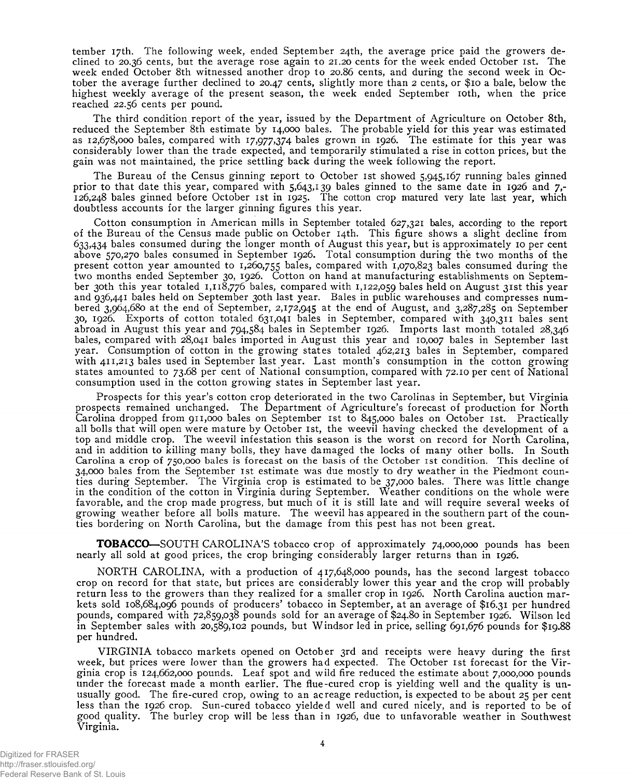tember 17th. The following week, ended September 24th, the average price paid the growers declined to 20.36 cents, but the average rose again to 21.20 cents for the week ended October 1st. The week ended October 8th witnessed another drop to 20.86 cents, and during the second week in October the average further declined to 20.47 cents, slightly more than 2 cents, or \$10 a bale, below the highest weekly average of the present season, the week ended September 10th, when the price reached 22.56 cents per pound.

The third condition report of the year, issued by the Department of Agriculture on October 8th, reduced the September 8th estimate by 14,000 bales. The probable yield for this year was estimated as 12,678,000 bales, compared with 17,977,374 bales grown in 1926. The estimate for this year was considerably lower than the trade expected, and temporarily stimulated a rise in cotton prices, but the gain was not maintained, the price settling back during the week following the report.

The Bureau of the Census ginning report to October 1st showed 5,945,167 running bales ginned prior to that date this year, compared with 5,643,139 bales ginned to the same date in 1926 and  $7,$ -126,248 bales ginned before October 1st in 1925. The cotton crop matured very late last year, which doubtless accounts for the larger ginning figures this year.

Cotton consumption in American mills in September totaled 627,321 bales, according to the report of the Bureau of the Census made public on October 14th. This figure shows a slight decline from 633,434 bales consumed during the longer month of August this year, but is approximately 10 per cent above 570,270 bales consumed in September 1926. Total consumption during the two months of the present cotton year amounted to 1,260,755 bales, compared with 1,070,823 bales consumed during the two months ended September 30, 1926. Cotton on hand at manufacturing establishments on September 30th this year totaled 1,118,776 bales, compared with 1,122,059 bales held on August 31st this year and 936,441 bales held on September 30th last year. Bales in public warehouses and compresses numbered 3,964,680 at the end of September, 2,172,945 at the end of August, and 3,287,285 on September 30, 1926. Exports of cotton totaled 631,041 bales in September, compared with 340,311 bales sent abroad in August this year and 794,584 bales in September 1926. Imports last month totaled 28,346 bales, compared with 28,041 bales imported in August this year and 10,007 bales in September last year. Consumption of cotton in the growing states totaled 462,213 bales in September, compared with 411,213 bales used in September last year. Last month's consumption in the cotton growing states amounted to 73.68 per cent of National consumption, compared with 72.10 per cent of National consumption used in the cotton growing states in September last year.

Prospects for this year's cotton crop deteriorated in the two Carolinas in September, but Virginia prospects remained unchanged. The Department of Agriculture's forecast of production for North Carolina dropped from 911,000 bales on September 1st to 845,000 bales on October 1st. Practically all bolls that will open were mature by October 1st, the weevil having checked the development of a top and middle crop. The weevil infestation this season is the worst on record for North Carolina, and in addition to killing many bolls, they have damaged the locks of many other bolls. In South Carolina a crop of 750,000 bales is forecast on the basis of the October 1st condition. This decline of 34,000 bales from the September 1st estimate was due mostly to dry weather in the Piedmont counties during September. The Virginia crop is estimated to be 37,000 bales. There was little change in the condition of the cotton in Virginia during September. Weather conditions on the whole were favorable, and the crop made progress, but much of it is still late and will require several weeks of growing weather before all bolls mature. The weevil has appeared in the southern part of the counties bordering on North Carolina, but the damage from this pest has not been great.

**TOBACCO**—SOUTH CAROLINA'S tobacco crop of approximately 74,000,000 pounds has been nearly all sold at good prices, the crop bringing considerably larger returns than in 1926.

NORTH CAROLINA, with a production of 417,648,000 pounds, has the second largest tobacco crop on record for that state, but prices are considerably lower this year and the crop will probably return less to the growers than they realized for a smaller crop in 1926. North Carolina auction markets sold 108,684,096 pounds of producers' tobacco in September, at an average of \$16.31 per hundred pounds, compared with 72,859,038 pounds sold for an average of \$24.80 in September 1926. Wilson led in September sales with 20,589,102 pounds, but Windsor led in price, selling 691,676 pounds for \$19.88 per hundred.

VIRG IN IA tobacco markets opened on October 3rd and receipts were heavy during the first week, but prices were lower than the growers had expected. The October 1st forecast for the Virginia crop is 124,662,000 pounds. Leaf spot and wild fire reduced the estimate about 7,000,000 pounds under the forecast made a month earlier. The flue-cured crop is yielding well and the quality is unusually good. The fire-cured crop, owing to an acreage reduction, is expected to be about 25 per cent less than the 1926 crop. Sun-cured tobacco yielded well and cured nicely, and is reported to be of good quality. The burley crop will be less than in 1926, due to unfavorable weather in Southwest Virginia.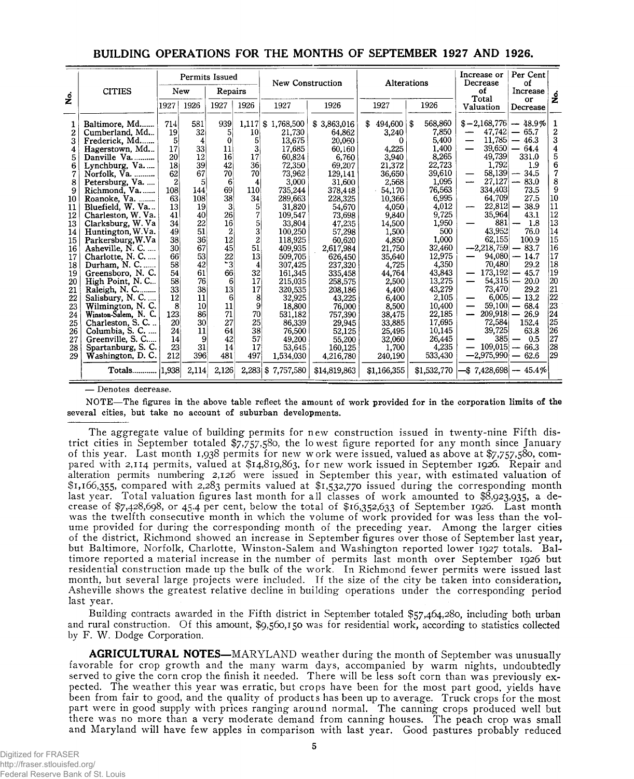|                                                                                                                                                                                | <b>CITIES</b>                                                                                                                                                                                                                                                                                                                                                                                                                                                                                                                                                          |                                                                                                                                                                                          | Permits Issued<br>Repairs<br>New                                                                                                                                            |                                                                                                                                                                        | <b>New Construction</b>                                                                                                                                                            |                                                                                                                                                                                                                                                                                                                   | <b>Alterations</b>                                                                                                                                                                                                                                                                                                 |                                                                                                                                                                                                                                                                                                      | Increase or<br>Decrease<br>of                                                                                                                                                                                                                                                    | Per Cent<br>οf<br>Increase                                                                                                                                                                                                                                                                                         |                                                                                                                                                                                                                                                                                |                                                                                                                                                                                                      |
|--------------------------------------------------------------------------------------------------------------------------------------------------------------------------------|------------------------------------------------------------------------------------------------------------------------------------------------------------------------------------------------------------------------------------------------------------------------------------------------------------------------------------------------------------------------------------------------------------------------------------------------------------------------------------------------------------------------------------------------------------------------|------------------------------------------------------------------------------------------------------------------------------------------------------------------------------------------|-----------------------------------------------------------------------------------------------------------------------------------------------------------------------------|------------------------------------------------------------------------------------------------------------------------------------------------------------------------|------------------------------------------------------------------------------------------------------------------------------------------------------------------------------------|-------------------------------------------------------------------------------------------------------------------------------------------------------------------------------------------------------------------------------------------------------------------------------------------------------------------|--------------------------------------------------------------------------------------------------------------------------------------------------------------------------------------------------------------------------------------------------------------------------------------------------------------------|------------------------------------------------------------------------------------------------------------------------------------------------------------------------------------------------------------------------------------------------------------------------------------------------------|----------------------------------------------------------------------------------------------------------------------------------------------------------------------------------------------------------------------------------------------------------------------------------|--------------------------------------------------------------------------------------------------------------------------------------------------------------------------------------------------------------------------------------------------------------------------------------------------------------------|--------------------------------------------------------------------------------------------------------------------------------------------------------------------------------------------------------------------------------------------------------------------------------|------------------------------------------------------------------------------------------------------------------------------------------------------------------------------------------------------|
| غ<br>گ                                                                                                                                                                         |                                                                                                                                                                                                                                                                                                                                                                                                                                                                                                                                                                        | 1927                                                                                                                                                                                     | 1926                                                                                                                                                                        | 1927                                                                                                                                                                   | 1926                                                                                                                                                                               | 1927                                                                                                                                                                                                                                                                                                              | 1926                                                                                                                                                                                                                                                                                                               | 1927                                                                                                                                                                                                                                                                                                 | 1926                                                                                                                                                                                                                                                                             | Total<br>Valuation                                                                                                                                                                                                                                                                                                 | or<br>Decrease                                                                                                                                                                                                                                                                 | <u>ہ</u>                                                                                                                                                                                             |
| 1<br>$\overline{2}$<br>3<br>4<br>5<br>6<br>7<br>8<br>9<br>10<br>11<br>12<br>13<br>14<br>15<br>16<br>17<br>18<br>19<br>20<br>21<br>22<br>23<br>24<br>25<br>26<br>27<br>28<br>29 | Baltimore, Md<br>Cumberland, Md<br>Frederick, Md<br>Hagerstown, Md<br>Danville Va<br>Lynchburg, Va<br>Norfolk, Va.<br>Petersburg, Va.<br>Richmond, Va.<br>Roanoke, Va.<br>Bluefield, W. Va<br>Charleston, W. Va.<br>Clarksburg, W. Va<br>Huntington, W.Va.<br>Parkersburg, W.Va<br>Asheville, N. C.<br>Charlotte, N. C.<br>Durham, N. C<br>Greensboro, N.C.<br>High Point, N.C<br>Raleigh, N. C<br>Salisbury, N. C.<br>Wilmington, N. C.<br>Winston-Salem, N. C.<br>Charleston, S. C<br>Columbia, S. C.<br>Greenville, S. C<br>Spartanburg, S. C.<br>Washington, D. C. | 714<br>19<br>5<br>17<br>20<br>18<br>62<br>$\overline{2}$<br>108<br>63<br>13<br>41<br>34<br>49<br>38<br>30<br>66<br>58<br>54<br>58<br>33<br>12<br>8<br>123<br>20<br>24<br>14<br>23<br>212 | 581<br>32<br>4<br>33<br>12<br>39<br>67<br>5<br>144<br>108<br>19<br>40<br>22<br>51<br>36<br>67<br>53<br>42<br>61<br>76<br>38<br>11<br>10<br>86<br>30<br>11<br>9<br>31<br>396 | 939<br>51<br>0<br>11<br>16<br>42<br>70<br>6<br>69<br>38<br>3<br>26<br>16<br>2<br>12<br>45<br>22<br>*3<br>66<br>6<br>13<br>6<br>11<br>71<br>27<br>64<br>42<br>14<br>481 | 1,117<br>10<br>5<br>3<br>17<br>36<br>70<br>4<br>110<br>34<br>5<br>7<br>5<br>3<br>2<br>51<br>13<br>4<br>32<br>17<br>17<br>8<br>9<br>70<br>25 <sup>2</sup><br>381<br>57<br>17<br>497 | \$1,768,500<br>21.730<br>13,675<br>17,685<br>60,824<br>72,350<br>73,962<br>3,000<br>735,244<br>289,663<br>31.820<br>109,547<br>33,804<br>100,250<br>118,925<br>409.935<br>509,705<br>307,425<br>161,345<br>215,035<br>320.535<br>32,925<br>18,800<br>531.182<br>86,339<br>76,500<br>49,200<br>53.645<br>1,534,030 | \$3,863,016<br>64,862<br>20,060<br>60.160<br>6,760<br>69.207<br>129,141<br>31.600<br>378,448<br>228,325<br>54,670<br>73,698<br>47,235<br>57,298<br>60.620<br>2,617,984<br>626,450<br>237,320<br>335,458<br>258,575<br>208,186<br>43,225<br>76,000<br>757,390<br>29,945<br>52,125<br>55,200<br>160.125<br>4,216,780 | \$<br>$494,600 \, \vert \, \$$<br>3,240<br>0<br>4.225<br>3,940<br>21,372<br>36,650<br>2,568<br>54,170<br>10.366<br>4.050<br>9.840<br>14,500<br>1,500<br>4,850<br>21.750<br>35,640<br>4,725<br>44,764<br>2,500<br>4.400<br>6,400<br>8,500<br>38,475<br>33,885<br>25,495<br>32,060<br>1.700<br>240.190 | 568,860<br>7,850<br>5,400<br>1.400<br>8,265<br>22,723<br>39,610<br>1,095<br>76,563<br>6,995<br>4.012<br>9,725<br>1,950<br>500<br>1,000<br>32,460<br>12,975<br>4.350<br>43,843<br>13,275<br>43,279<br>2,105<br>10,400<br>22,185<br>17,695<br>10,145<br>26,445<br>4,235<br>533,430 | $$ -2,168,776$<br>47.742<br>11,785<br>39,650<br>49,739<br>1.792<br>$58,139$ –<br>27,127<br>334,403<br>64.709<br>22,812<br>35,964<br>881<br>43.952<br>62,155<br>$-2,218,759$<br>94,080<br>70,480<br>173,192<br>54,315<br>73,470<br>6,005<br>59,100<br>209,918<br>72,584<br>39,725<br>385<br>109.015<br>$-2,975,990$ | $-48.9\%$<br>$-65.7$<br>$-46.3$<br>64.4<br>$\overline{\phantom{0}}$<br>331.0<br>1.9<br>34.5<br>83.0<br>73.5<br>27.5<br>38.9<br>43.1<br>1.8<br>76.0<br>100.9<br>83.7<br>14.7<br>29.2<br>45.7<br>20.0<br>29.2<br>13.2<br>68.4<br>26.9<br>152.4<br>63.8<br>0.5<br>66.3<br>$-62.6$ | 1<br>$\overline{2}$<br>3<br>4<br>5<br>6<br>7<br>8<br>9<br>10<br>11<br>12<br>$\overline{13}$<br>14<br>15<br>16<br>17<br>18<br>19<br>20<br>21<br>22<br>23<br>24<br>$\bar{25}$<br>26<br>27<br> 28<br>29 |
|                                                                                                                                                                                | <b>Totals</b>                                                                                                                                                                                                                                                                                                                                                                                                                                                                                                                                                          | 1,938                                                                                                                                                                                    | 2,114                                                                                                                                                                       | 2,126                                                                                                                                                                  |                                                                                                                                                                                    | 2,283 \$7,757,580                                                                                                                                                                                                                                                                                                 | \$14,819,863                                                                                                                                                                                                                                                                                                       | \$1,166,355                                                                                                                                                                                                                                                                                          | \$1,532,770                                                                                                                                                                                                                                                                      | \$7,428,698                                                                                                                                                                                                                                                                                                        | $-45.4\%$                                                                                                                                                                                                                                                                      |                                                                                                                                                                                                      |

### **BUILDING OPERATIONS FOR THE MONTHS OF SEPTEMBER 1927 AND 1926.**

— Denotes decrease.

NOTE— The figures in the above table reflect the amount of work provided for in the corporation limits of the several cities, but take no account of suburban developments.

The aggregate value of building permits for new construction issued in twenty-nine Fifth district cities in September totaled \$7,757,580, the lowest figure reported for any month since January of this year. Last month 1,938 permits for new work were issued, valued as above at \$7,757,580, compared with 2,114 permits, valued at \$14,819,863, for new work issued in September 1926. Repair and alteration permits numbering 2,126 were issued in September this year, with estimated valuation of \$1,166,355, compared with 2,283 permits valued at \$1,532,770 issued during the corresponding month last year. Total valuation figures last month for all classes of work amounted to \$8,923,935, a decrease of \$7,428,698, or 45.4 per cent, below the total of \$16,352,633 of September 1926. Last month was the twelfth consecutive month in which the volume of work provided for was less than the volume provided for during the corresponding month of the preceding year. Among the larger cities of the district, Richmond showed an increase in September figures over those of September last year, but Baltimore, Norfolk, Charlotte, Winston-Salem and Washington reported lower 1927 totals. Baltimore reported a material increase in the number of permits last month over September 1926 but residential construction made up the bulk of the work. In Richmond fewer permits were issued last month, but several large projects were included. If the size of the city be taken into consideration, Asheville shows the greatest relative decline in building operations under the corresponding period last year.

Building contracts awarded in the Fifth district in September totaled \$57,464,280, including both urban and rural construction. Of this amount, \$9,560,150 was for residential work, according to statistics collected by F. W. Dodge Corporation.

AGRICULTURAL NOTES-MARYLAND weather during the month of September was unusually favorable for crop growth and the many warm days, accompanied by warm nights, undoubtedly served to give the corn crop the finish it needed. There will be less soft corn than was previously expected. The weather this year was erratic, but crops have been for the most part good, yields have been from fair to good, and the quality of products has been up to average. Truck crops for the most part were in good supply with prices ranging around normal. The canning crops produced well but there was no more than a very moderate demand from canning houses. The peach crop was small and Maryland will have few apples in comparison with last year. Good pastures probably reduced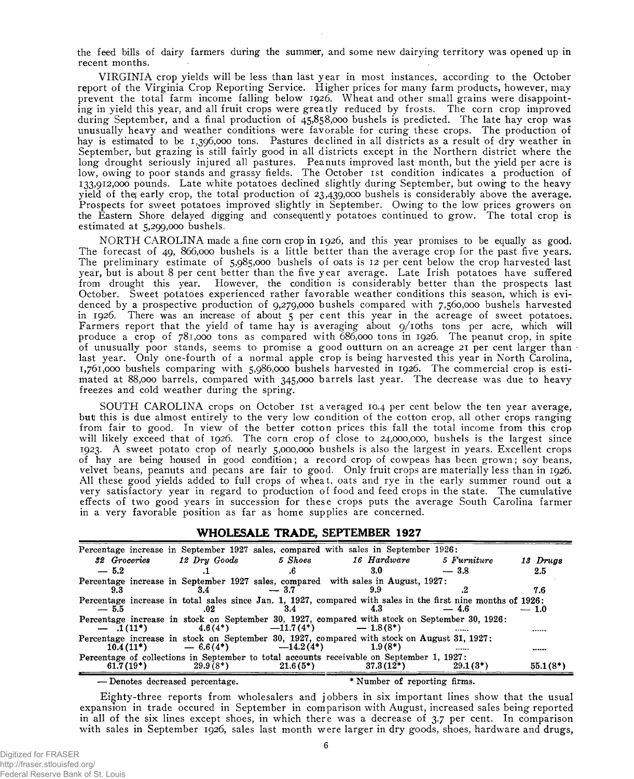the feed bills of dairy farmers during the summer, and some new dairying territory was opened up in recent months.

VIRGINIA crop yields will be less than last year in most instances, according to the October report of the Virginia Crop Reporting Service. Higher prices for many farm products, however, may prevent the total farm income falling below 1926. Wheat and other small grains were disappointing in yield this year, and all fruit crops were greatly reduced by frosts. The corn crop improved during September, and a final production of 45,858,000 bushels is predicted. The late hay crop was unusually heavy and weather conditions were favorable for curing these crops. The production of hay is estimated to be 1,396,000 tons. Pastures declined in all districts as a result of dry weather in September, but grazing is still fairly good in all districts except in the Northern district where the long drought seriously injured all pastures. Peanuts improved last month, but the yield per acre is low, owing to poor stands and grassy fields. The October 1st condition indicates a production of 133.912.000 pounds. Late white potatoes declined slightly during September, but owing to the heavy yield of thej early crop, the total production of 23,439,000 bushels is considerably above the average. Prospects for sweet potatoes improved slightly in September. Owing to the low prices growers on the Eastern Shore delayed digging and consequently potatoes continued to grow. The total crop is estimated at 5,299,000 bushels.

NORTH CAROLINA made a fine corn crop in 1926, and this year promises to be equally as good. The forecast of 49, 866,000 bushels is a little better than the average crop for the past five years. The preliminary estimate of 5,985,000 bushels of oats is 12 per cent below the crop harvested last year, but is about 8 per cent better than the five year average. Late Irish potatoes have suffered from drought this year. However, the condition is considerably better than the prospects last October. Sweet potatoes experienced rather favorable weather conditions this season, which is evidenced by a prospective production of 9,279,000 bushels compared with 7,560,000 bushels harvested in 1926. There was an increase of about 5 per cent this year in the acreage of sweet potatoes. Farmers report that the yield of tame hay is averaging about 9/10ths tons per acre, which will produce a crop of 781,000 tons as compared with 686,000 tons in 1926. The peanut crop, in spite of unusually poor stands, seems to promise a good outturn on an acreage 21 per cent larger than last year. Only one-fourth of a normal apple crop is being harvested this year in North Carolina, 1.761.000 bushels comparing with 5,986,000 bushels harvested in 1926. The commercial crop is estimated at 88,000 barrels, compared with 345,000 barrels last year. The decrease was due to heavy freezes and cold weather during the spring.

SOUTH CAROLINA crops on October 1st averaged 10.4 per cent below the ten year average, but this is due almost entirely to the very low condition of the cotton crop, all other crops ranging from fair to good. In view of the better cotton prices this fall the total income from this crop will likely exceed that of 1926. The corn crop of close to 24,000,000, bushels is the largest since 1923. A sweet potato crop of nearly 5,000,000 bushels is also the largest in years. Excellent crops of hay are being housed in good condition; a record crop of cowpeas has been grown; soy beans, velvet beans, peanuts and pecans are fair to good. Only fruit crops are materially less than in 1926. All these good yields added to full crops of wheat, oats and rye in the early summer round out a very satisfactory year in regard to production of food and feed crops in the state. The cumulative effects of two good years in succession for these crops puts the average South Carolina farmer in a very favorable position as far as home supplies are concerned.

#### WHOLESALE TRADE, SEPTEMBER 1927

|              |              |              | Percentage increase in September 1927 sales, compared with sales in September 1926:                           |             |            |
|--------------|--------------|--------------|---------------------------------------------------------------------------------------------------------------|-------------|------------|
| 32 Groceries | 12 Dry Goods | 5 Shoes      | 16 Hardware                                                                                                   | 5 Furniture | 13 Drugs   |
| $-5.2$       |              | .6           | 3.0                                                                                                           | $-3.8$      | 2.5        |
|              |              |              | Percentage increase in September 1927 sales, compared with sales in August, 1927:                             |             |            |
| 9.3          | 3.4          | $-3.7$       |                                                                                                               |             | 7.6        |
|              |              |              | Percentage increase in total sales since Jan. 1, 1927, compared with sales in the first nine months of 1926:  |             |            |
| $-5.5$       | .02          | 3.4          | 43                                                                                                            | $-4.6$      | $-1.0$     |
| $-1(11^*)$   | $4.6(4*)$    | $-11.7(4^*)$ | Percentage increase in stock on September 30, 1927, compared with stock on September 30, 1926:<br>$-1.8(8^*)$ |             | .          |
| $10.4(11*)$  | $-6.6(4*)$   | $-14.2(4^*)$ | Percentage increase in stock on September 30, 1927, compared with stock on August 31, 1927;<br>$1.9(8*)$      |             |            |
|              |              |              | Percentage of collections in September to total accounts receivable on September 1, 1927:                     |             |            |
| $61.7(19*)$  | $29.9(8^*)$  | $21.6(5^*)$  | $37.3(12*)$                                                                                                   | $29.1(3^*)$ | $55.1(8*)$ |
| .            |              |              | $\sim$ $\sim$ $\sim$<br>. .                                                                                   | $\cdots$    |            |

— Denotes decreased percentage. \* Number of reporting firms.

Eighty-three reports from wholesalers and jobbers in six important lines show that the usual expansion in trade occured in September in comparison with August, increased sales being reported in all of the six lines except shoes, in which there was a decrease of 3.7 per cent. In comparison with sales in September 1926, sales last month were larger in dry goods, shoes, hardware and drugs,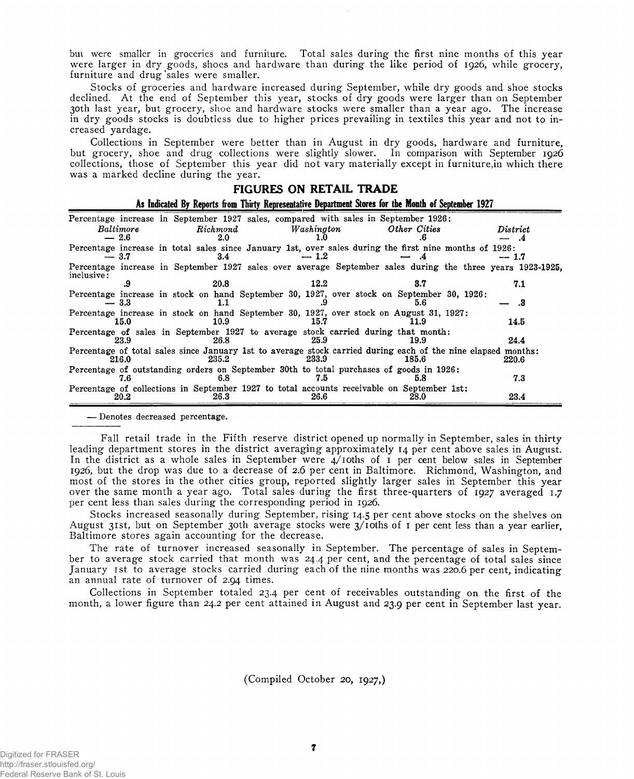bui were smaller in groceries and furniture. Total sales during the first nine months of this year were larger in dry goods, shoes and hardware than during the like period of 1926, while grocery, furniture and drug 'sales were smaller.

Stocks of groceries and hardware increased during September, while dry goods and shoe stocks declined. At the end of September this year, stocks of dry goods were larger than on September 30th last year, but grocery, shoe and hardware stocks were smaller than a year ago. The increase in dry goods stocks is doubtless due to higher prices prevailing in textiles this year and not to increased yardage.

Collections in September were better than in August in dry goods, hardware and furniture, but grocery, shoe and drug collections were slightly slower. In comparison with September 1926 collections, those of September this year did not vary materially except in furniture,in which there was a marked decline during the year.

| FIGURES ON RETAIL TRADE                                                                              |                                                                                                                       |            |              |                                          |  |  |
|------------------------------------------------------------------------------------------------------|-----------------------------------------------------------------------------------------------------------------------|------------|--------------|------------------------------------------|--|--|
| As Indicated By Reports from Thirty Representative Department Stores for the Month of September 1927 |                                                                                                                       |            |              |                                          |  |  |
|                                                                                                      | Percentage increase in September 1927 sales, compared with sales in September 1926:                                   |            |              |                                          |  |  |
| Baltimore<br>$-2.6$                                                                                  | Richmond<br>2.0                                                                                                       | Washington | Other Cities | $\boldsymbol{\mathit{District}}$<br>- .4 |  |  |
| $-3.7$                                                                                               | Percentage increase in total sales since January 1st, over sales during the first nine months of 1926:<br>3.4         | $-1.2$     |              | $-1.7$                                   |  |  |
| inclusive:                                                                                           | Percentage increase in September 1927 sales over average September sales during the three years 1923-1925.            |            |              |                                          |  |  |
|                                                                                                      | 20.8                                                                                                                  | 12.2       | 3.7          | 7.1                                      |  |  |
| $-3.3$                                                                                               | Percentage increase in stock on hand September 30, 1927, over stock on September 30, 1926:                            |            | 5.6          | .3                                       |  |  |
| 15.0                                                                                                 | Percentage increase in stock on hand September 30, 1927, over stock on August 31, 1927:<br>10.9                       | 15.7       | 11.9         | 14.5                                     |  |  |
| 23.9                                                                                                 | Percentage of sales in September 1927 to average stock carried during that month:<br>26.8                             | 25.9       | 19.9         | 24.4                                     |  |  |
| 216.0                                                                                                | Percentage of total sales since January 1st to average stock carried during each of the nine elapsed months:<br>235.2 | 233.9      | 185.6        | 220.6                                    |  |  |
| 7.6                                                                                                  | Percentage of outstanding orders on September 30th to total purchases of goods in 1926:<br>6.8                        | 7.D        | 5.8          | 7.3                                      |  |  |
| 20.2                                                                                                 | Percentage of collections in September 1927 to total accounts receivable on September 1st:<br>26.3                    | 26.6       | 28.0         | 23.4                                     |  |  |
|                                                                                                      |                                                                                                                       |            |              |                                          |  |  |

— Denotes decreased percentage.

Fall retail trade in the Fifth reserve district opened up normally in September, sales in thirty leading department stores in the district averaging approximately 14 per cent above sales in August. In the district as a whole sales in September were 4/ioths of 1 per cent below sales in September 1926, but the drop was due to a decrease of 2.6 per cent in Baltimore. Richmond, Washington, and most of the stores in the other cities group, reported slightly larger sales in September this year over the same month a year ago. Total sales during the first three-quarters of 1927 averaged 1.7 per cent less than sales during the corresponding period in 1926.

Stocks increased seasonally during September, rising 14.5 per cent above stocks on the shelves on August 31st, but on September 30th average stocks were 3/ioths of 1 per cent less than a year earlier, Baltimore stores again accounting for the decrease.

The rate of turnover increased seasonally in September. The percentage of sales in September to average stock carried that month was 24.4 per cent, and the percentage of total sales since January 1st to average stocks carried during each of the nine months was 220.6 per cent, indicating an annual rate of turnover of 2.94 times.

Collections in September totaled 23.4 per cent of receivables outstanding on the first of the month, a lower figure than 24.2 per cent attained in August and 23.9 per cent in September last year.

(Compiled October 20, 1927,)